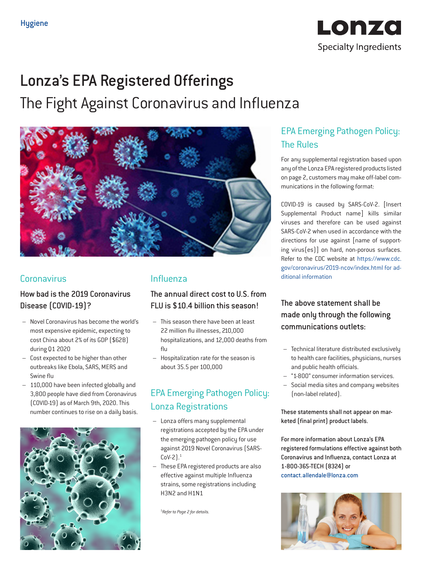

# Lonza's EPA Registered Offerings

The Fight Against Coronavirus and Influenza



### **Coronavirus**

### How bad is the 2019 Coronavirus Disease (COVID-19)?

- Novel Coronavirus has become the world's most expensive epidemic, expecting to cost China about 2% of its GDP (\$62B) during Q1 2020
- Cost expected to be higher than other outbreaks like Ebola, SARS, MERS and Swine flu
- 110,000 have been infected globally and 3,800 people have died from Coronavirus (COVID-19) as of March 9th, 2020. This number continues to rise on a daily basis.



### Influenza

### The annual direct cost to U.S. from FLU is \$10.4 billion this season!

- This season there have been at least 22 million flu illnesses, 210,000 hospitalizations, and 12,000 deaths from flu
- Hospitalization rate for the season is about 35.5 per 100,000

## EPA Emerging Pathogen Policy: Lonza Registrations

- Lonza offers many supplemental registrations accepted by the EPA under the emerging pathogen policy for use against 2019 Novel Coronavirus (SARS- $Cov-2$ ).<sup>1</sup>
- These EPA registered products are also effective against multiple Influenza strains, some registrations including H3N2 and H1N1

1 *Refer to Page 2 for details.*

### EPA Emerging Pathogen Policy: The Rules

For any supplemental registration based upon any of the Lonza EPA registered products listed on page 2, customers may make off-label communications in the following format:

COVID-19 is caused by SARS-CoV-2. [Insert Supplemental Product name] kills similar viruses and therefore can be used against SARS-CoV-2 when used in accordance with the directions for use against [name of supporting virus(es)] on hard, non-porous surfaces. Refer to the CDC website at https://www.cdc. gov/coronavirus/2019-ncov/index.html for additional information

### The above statement shall be made only through the following communications outlets:

- Technical literature distributed exclusively to health care facilities, physicians, nurses and public health officials.
- "1-800" consumer information services.
- Social media sites and company websites (non-label related).

These statements shall not appear on marketed (final print) product labels.

For more information about Lonza's EPA registered formulations effective against both Coronavirus and Influenza, contact Lonza at 1-800-365-TECH (8324) or contact.allendale@lonza.com